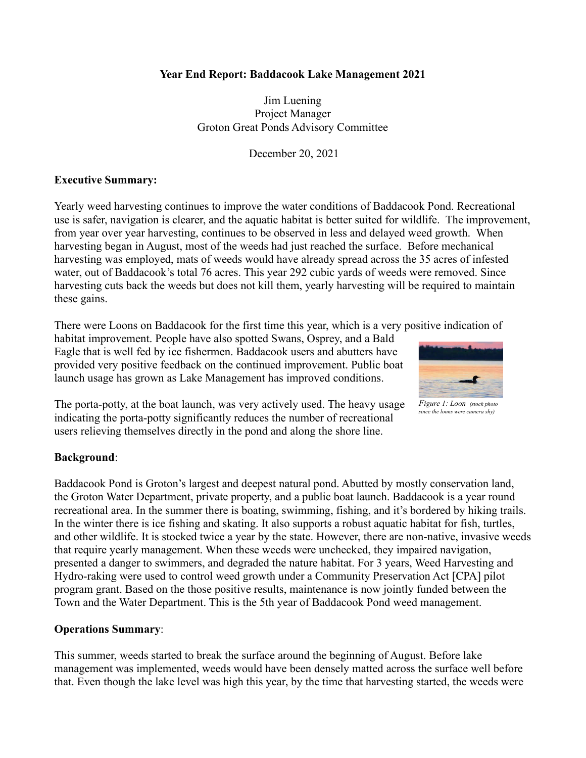### **Year End Report: Baddacook Lake Management 2021**

Jim Luening Project Manager Groton Great Ponds Advisory Committee

December 20, 2021

#### **Executive Summary:**

Yearly weed harvesting continues to improve the water conditions of Baddacook Pond. Recreational use is safer, navigation is clearer, and the aquatic habitat is better suited for wildlife. The improvement, from year over year harvesting, continues to be observed in less and delayed weed growth. When harvesting began in August, most of the weeds had just reached the surface. Before mechanical harvesting was employed, mats of weeds would have already spread across the 35 acres of infested water, out of Baddacook's total 76 acres. This year 292 cubic yards of weeds were removed. Since harvesting cuts back the weeds but does not kill them, yearly harvesting will be required to maintain these gains.

There were Loons on Baddacook for the first time this year, which is a very positive indication of

habitat improvement. People have also spotted Swans, Osprey, and a Bald Eagle that is well fed by ice fishermen. Baddacook users and abutters have provided very positive feedback on the continued improvement. Public boat launch usage has grown as Lake Management has improved conditions.

> *Figure 1: Loon (stock photo since the loons were camera shy)*

The porta-potty, at the boat launch, was very actively used. The heavy usage indicating the porta-potty significantly reduces the number of recreational users relieving themselves directly in the pond and along the shore line.

# **Background**:

Baddacook Pond is Groton's largest and deepest natural pond. Abutted by mostly conservation land, the Groton Water Department, private property, and a public boat launch. Baddacook is a year round recreational area. In the summer there is boating, swimming, fishing, and it's bordered by hiking trails. In the winter there is ice fishing and skating. It also supports a robust aquatic habitat for fish, turtles, and other wildlife. It is stocked twice a year by the state. However, there are non-native, invasive weeds that require yearly management. When these weeds were unchecked, they impaired navigation, presented a danger to swimmers, and degraded the nature habitat. For 3 years, Weed Harvesting and Hydro-raking were used to control weed growth under a Community Preservation Act [CPA] pilot program grant. Based on the those positive results, maintenance is now jointly funded between the Town and the Water Department. This is the 5th year of Baddacook Pond weed management.

# **Operations Summary**:

This summer, weeds started to break the surface around the beginning of August. Before lake management was implemented, weeds would have been densely matted across the surface well before that. Even though the lake level was high this year, by the time that harvesting started, the weeds were